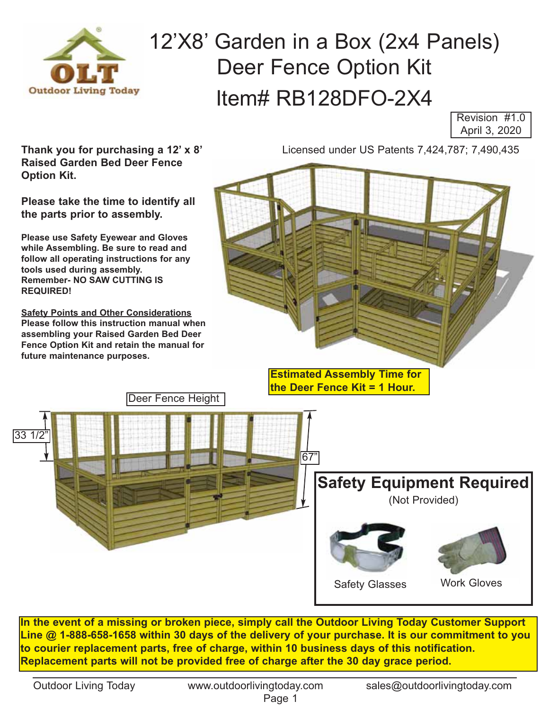

## 12'X8' Garden in a Box (2x4 Panels) Deer Fence Option Kit Item# RB128DFO-2X4

Revision #1.0 April 3, 2020

**Thank you for purchasing a 12' x 8' Raised Garden Bed Deer Fence Option Kit.** 

**Please take the time to identify all the parts prior to assembly.** 

**Please use Safety Eyewear and Gloves while Assembling. Be sure to read and follow all operating instructions for any tools used during assembly. Remember- NO SAW CUTTING IS  REQUIRED!** 

**Safety Points and Other Considerations Please follow this instruction manual when assembling your Raised Garden Bed Deer Fence Option Kit and retain the manual for future maintenance purposes.**

Deer Fence Height

Licensed under US Patents 7,424,787; 7,490,435

**Estimated Assembly Time for the Deer Fence Kit = 1 Hour.**

Safety Glasses Work Gloves **Safety Equipment Required**  (Not Provided) |33 67"

**In the event of a missing or broken piece, simply call the Outdoor Living Today Customer Support Line @ 1-888-658-1658 within 30 days of the delivery of your purchase. It is our commitment to you to courier replacement parts, free of charge, within 10 business days of this notification. Replacement parts will not be provided free of charge after the 30 day grace period.**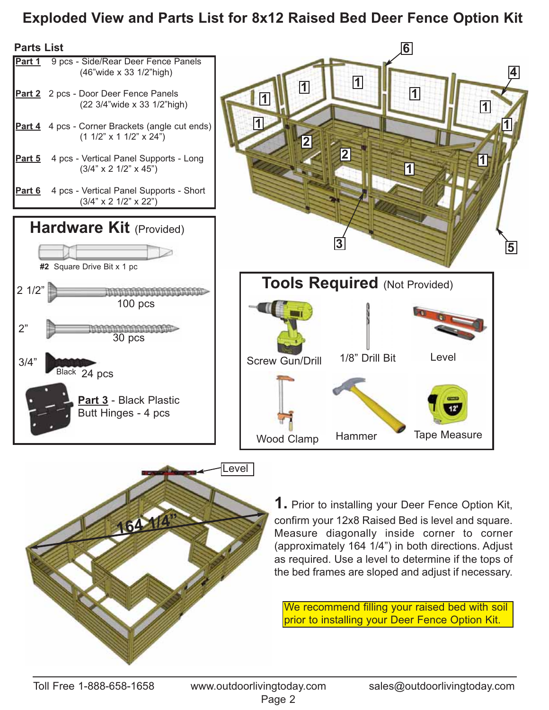## **Exploded View and Parts List for 8x12 Raised Bed Deer Fence Option Kit**





**1.** Prior to installing your Deer Fence Option Kit, confirm your 12x8 Raised Bed is level and square. Measure diagonally inside corner to corner (approximately 164 1/4") in both directions. Adjust as required. Use a level to determine if the tops of the bed frames are sloped and adjust if necessary.

We recommend filling your raised bed with soil prior to installing your Deer Fence Option Kit.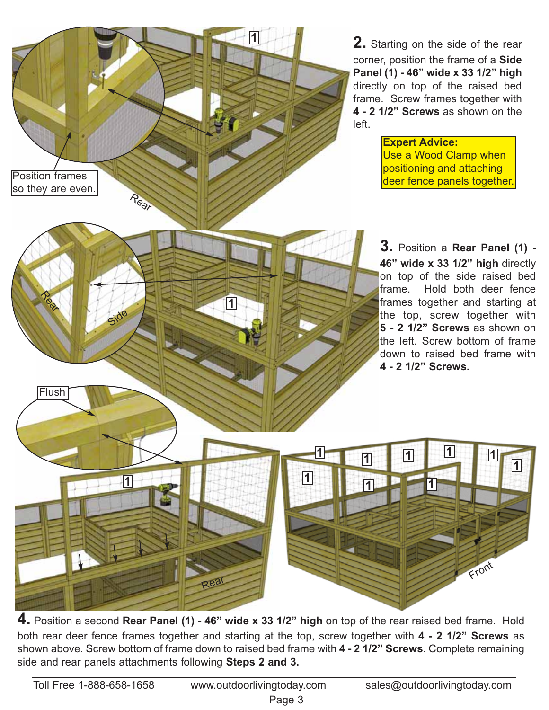**2.** Starting on the side of the rear corner, position the frame of a **Side Panel (1) - 46" wide x 33 1/2" high** directly on top of the raised bed frame. Screw frames together with **4 - 2 1/2" Screws** as shown on the left.

> **Expert Advice:** Use a Wood Clamp when positioning and attaching deer fence panels together.

**3.** Position a **Rear Panel (1) - 46" wide x 33 1/2" high** directly on top of the side raised bed frame. Hold both deer fence frames together and starting at the top, screw together with **5 - 2 1/2" Screws** as shown on the left. Screw bottom of frame down to raised bed frame with **4 - 2 1/2" Screws.**

**<sup>1</sup> <sup>1</sup> <sup>1</sup> <sup>1</sup> <sup>1</sup>**

**1**

Front

**4.** Position a second **Rear Panel (1) - 46" wide x 33 1/2" high** on top of the rear raised bed frame. Hold both rear deer fence frames together and starting at the top, screw together with **4 - 2 1/2" Screws** as shown above. Screw bottom of frame down to raised bed frame with **4 - 2 1/2" Screws**. Complete remaining side and rear panels attachments following **Steps 2 and 3.**

**1 1 1 1 1 1 1 1 1 1** 

Rear

**1**

**1**

**Real** 

Side

Position frames so they are even.

Rear

**Flush**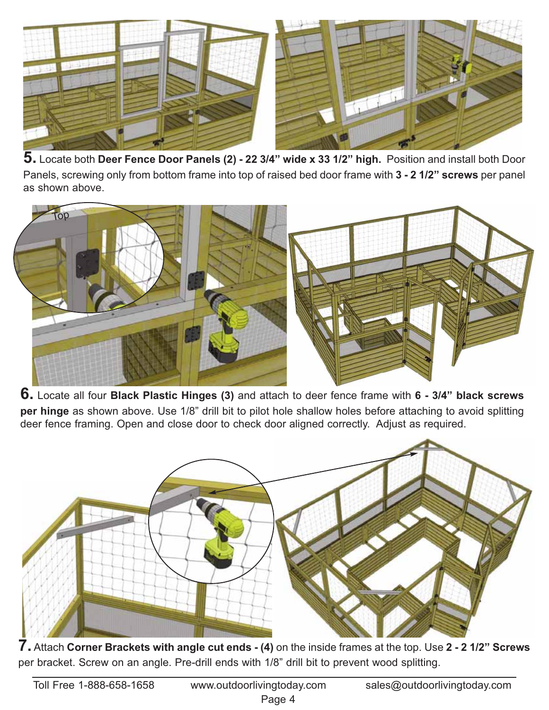

**5.** Locate both **Deer Fence Door Panels (2) - 22 3/4" wide x 33 1/2" high.** Position and install both Door Panels, screwing only from bottom frame into top of raised bed door frame with **3 - 2 1/2" screws** per panel as shown above.



**6.** Locate all four **Black Plastic Hinges (3)** and attach to deer fence frame with **6 - 3/4" black screws per hinge** as shown above. Use 1/8" drill bit to pilot hole shallow holes before attaching to avoid splitting deer fence framing. Open and close door to check door aligned correctly. Adjust as required.



**7.** Attach **Corner Brackets with angle cut ends - (4)** on the inside frames at the top. Use **2 - 2 1/2" Screws** per bracket. Screw on an angle. Pre-drill ends with 1/8" drill bit to prevent wood splitting.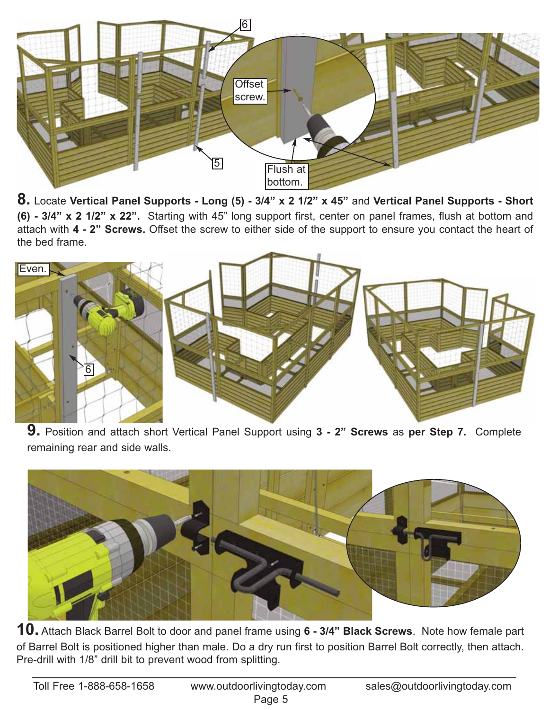

**8.** Locate **Vertical Panel Supports - Long (5) - 3/4" x 2 1/2" x 45"** and **Vertical Panel Supports - Short (6) - 3/4" x 2 1/2" x 22".** Starting with 45" long support first, center on panel frames, flush at bottom and attach with **4 - 2" Screws.** Offset the screw to either side of the support to ensure you contact the heart of the bed frame.



**9.** Position and attach short Vertical Panel Support using **3 - 2" Screws** as **per Step 7.** Complete remaining rear and side walls.



**10.** Attach Black Barrel Bolt to door and panel frame using **6 - 3/4" Black Screws**. Note how female part of Barrel Bolt is positioned higher than male. Do a dry run first to position Barrel Bolt correctly, then attach. Pre-drill with 1/8" drill bit to prevent wood from splitting.